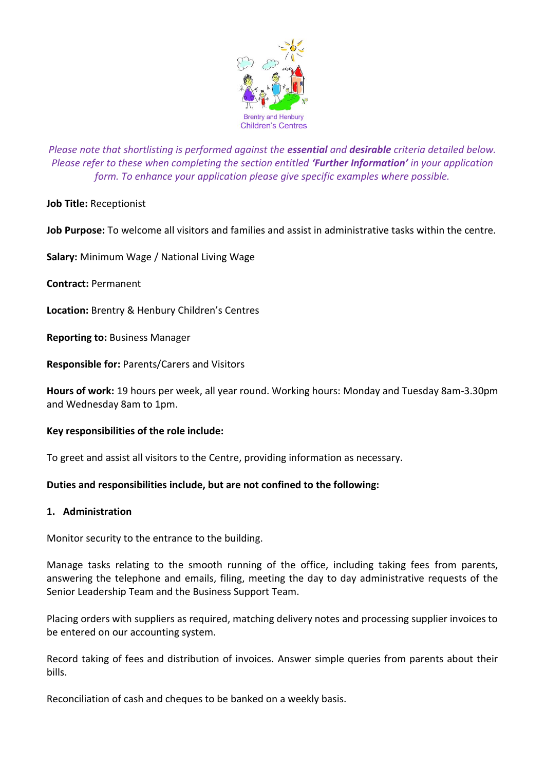

*Please note that shortlisting is performed against the essential and desirable criteria detailed below. Please refer to these when completing the section entitled 'Further Information' in your application form. To enhance your application please give specific examples where possible.*

**Job Title:** Receptionist

**Job Purpose:** To welcome all visitors and families and assist in administrative tasks within the centre.

**Salary:** Minimum Wage / National Living Wage

**Contract:** Permanent

**Location:** Brentry & Henbury Children's Centres

**Reporting to:** Business Manager

**Responsible for:** Parents/Carers and Visitors

**Hours of work:** 19 hours per week, all year round. Working hours: Monday and Tuesday 8am-3.30pm and Wednesday 8am to 1pm.

## **Key responsibilities of the role include:**

To greet and assist all visitors to the Centre, providing information as necessary.

## **Duties and responsibilities include, but are not confined to the following:**

#### **1. Administration**

Monitor security to the entrance to the building.

Manage tasks relating to the smooth running of the office, including taking fees from parents, answering the telephone and emails, filing, meeting the day to day administrative requests of the Senior Leadership Team and the Business Support Team.

Placing orders with suppliers as required, matching delivery notes and processing supplier invoices to be entered on our accounting system.

Record taking of fees and distribution of invoices. Answer simple queries from parents about their bills.

Reconciliation of cash and cheques to be banked on a weekly basis.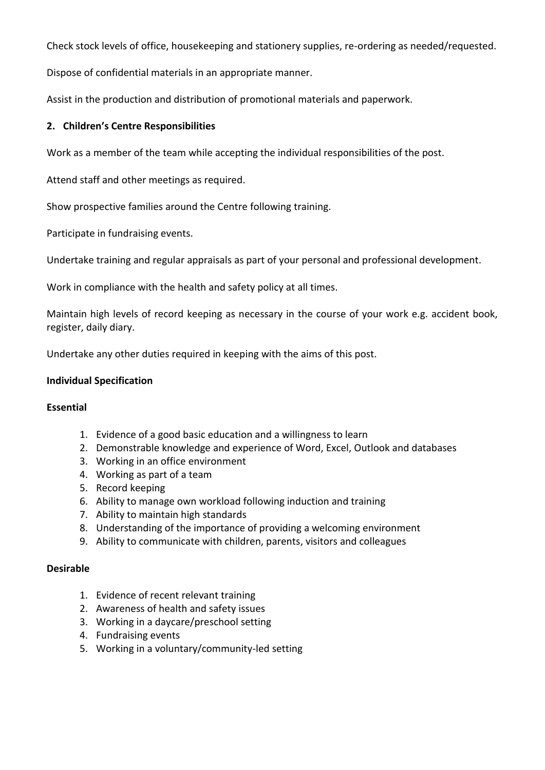Check stock levels of office, housekeeping and stationery supplies, re-ordering as needed/requested.

Dispose of confidential materials in an appropriate manner.

Assist in the production and distribution of promotional materials and paperwork.

# **2. Children's Centre Responsibilities**

Work as a member of the team while accepting the individual responsibilities of the post.

Attend staff and other meetings as required.

Show prospective families around the Centre following training.

Participate in fundraising events.

Undertake training and regular appraisals as part of your personal and professional development.

Work in compliance with the health and safety policy at all times.

Maintain high levels of record keeping as necessary in the course of your work e.g. accident book, register, daily diary.

Undertake any other duties required in keeping with the aims of this post.

## **Individual Specification**

# **Essential**

- 1. Evidence of a good basic education and a willingness to learn
- 2. Demonstrable knowledge and experience of Word, Excel, Outlook and databases
- 3. Working in an office environment
- 4. Working as part of a team
- 5. Record keeping
- 6. Ability to manage own workload following induction and training
- 7. Ability to maintain high standards
- 8. Understanding of the importance of providing a welcoming environment
- 9. Ability to communicate with children, parents, visitors and colleagues

## **Desirable**

- 1. Evidence of recent relevant training
- 2. Awareness of health and safety issues
- 3. Working in a daycare/preschool setting
- 4. Fundraising events
- 5. Working in a voluntary/community-led setting